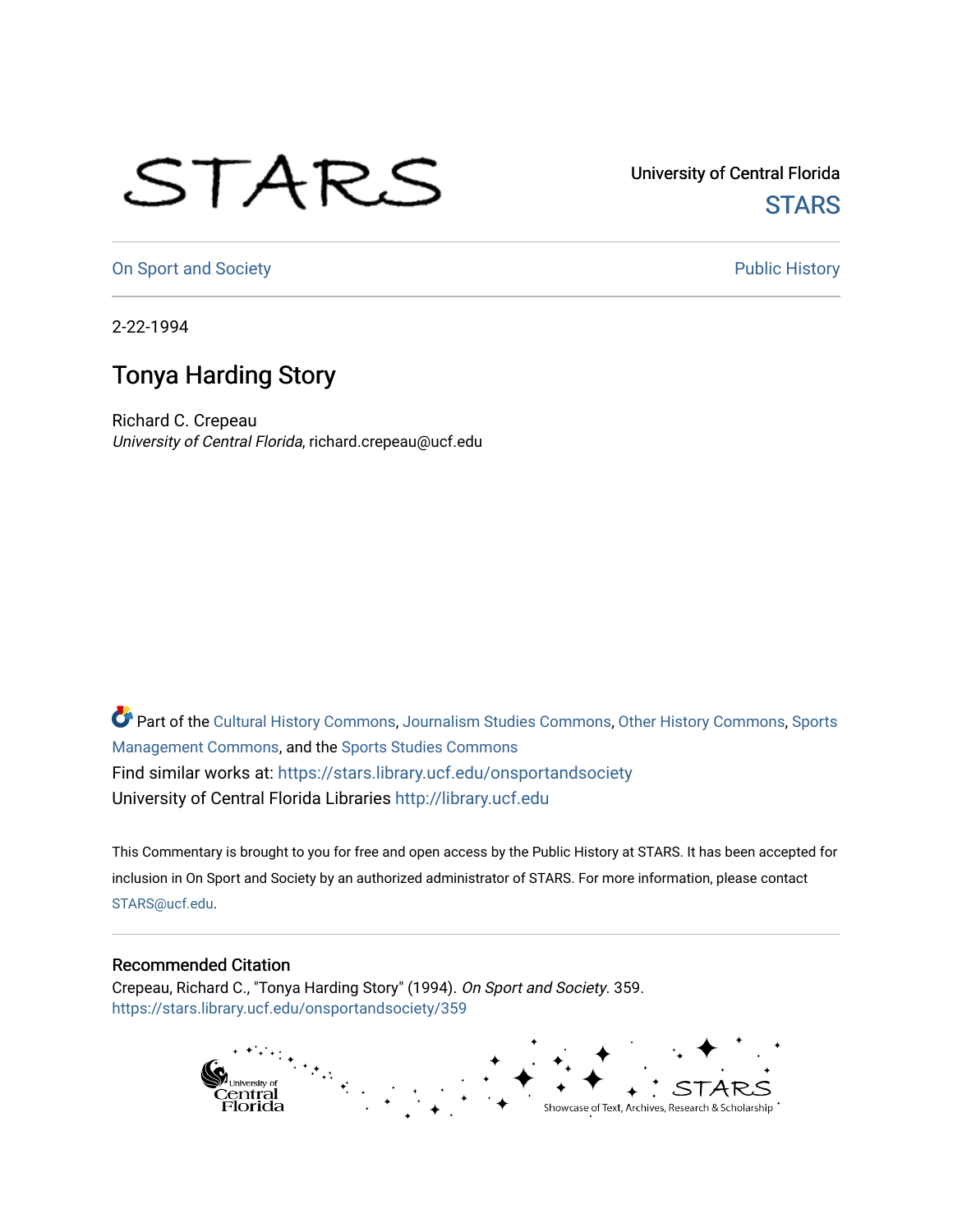## STARS

University of Central Florida **STARS** 

[On Sport and Society](https://stars.library.ucf.edu/onsportandsociety) **Public History** Public History

2-22-1994

## Tonya Harding Story

Richard C. Crepeau University of Central Florida, richard.crepeau@ucf.edu

Part of the [Cultural History Commons](http://network.bepress.com/hgg/discipline/496?utm_source=stars.library.ucf.edu%2Fonsportandsociety%2F359&utm_medium=PDF&utm_campaign=PDFCoverPages), [Journalism Studies Commons,](http://network.bepress.com/hgg/discipline/333?utm_source=stars.library.ucf.edu%2Fonsportandsociety%2F359&utm_medium=PDF&utm_campaign=PDFCoverPages) [Other History Commons,](http://network.bepress.com/hgg/discipline/508?utm_source=stars.library.ucf.edu%2Fonsportandsociety%2F359&utm_medium=PDF&utm_campaign=PDFCoverPages) [Sports](http://network.bepress.com/hgg/discipline/1193?utm_source=stars.library.ucf.edu%2Fonsportandsociety%2F359&utm_medium=PDF&utm_campaign=PDFCoverPages) [Management Commons](http://network.bepress.com/hgg/discipline/1193?utm_source=stars.library.ucf.edu%2Fonsportandsociety%2F359&utm_medium=PDF&utm_campaign=PDFCoverPages), and the [Sports Studies Commons](http://network.bepress.com/hgg/discipline/1198?utm_source=stars.library.ucf.edu%2Fonsportandsociety%2F359&utm_medium=PDF&utm_campaign=PDFCoverPages) Find similar works at: <https://stars.library.ucf.edu/onsportandsociety> University of Central Florida Libraries [http://library.ucf.edu](http://library.ucf.edu/) 

This Commentary is brought to you for free and open access by the Public History at STARS. It has been accepted for inclusion in On Sport and Society by an authorized administrator of STARS. For more information, please contact [STARS@ucf.edu](mailto:STARS@ucf.edu).

## Recommended Citation

Crepeau, Richard C., "Tonya Harding Story" (1994). On Sport and Society. 359. [https://stars.library.ucf.edu/onsportandsociety/359](https://stars.library.ucf.edu/onsportandsociety/359?utm_source=stars.library.ucf.edu%2Fonsportandsociety%2F359&utm_medium=PDF&utm_campaign=PDFCoverPages)

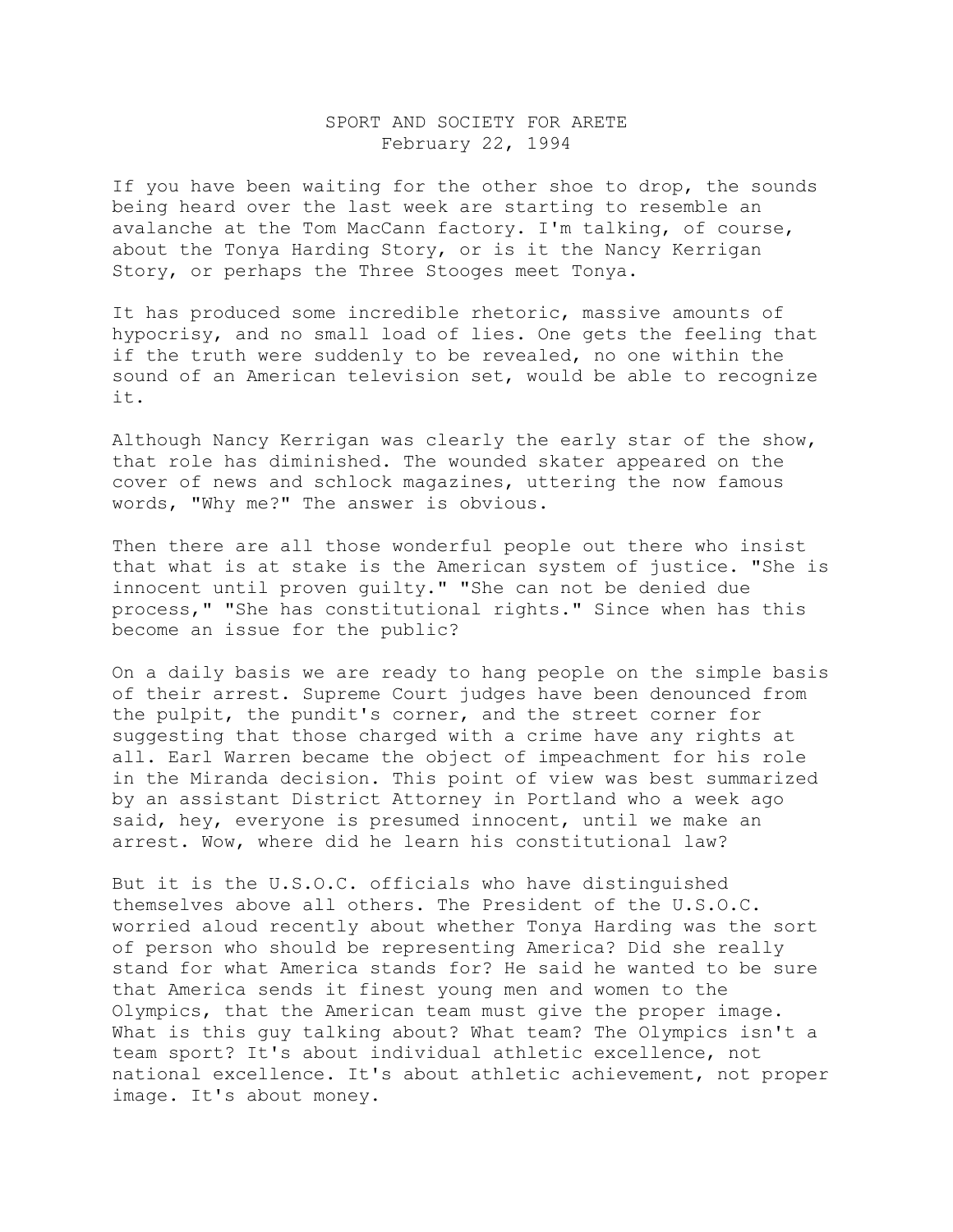## SPORT AND SOCIETY FOR ARETE February 22, 1994

If you have been waiting for the other shoe to drop, the sounds being heard over the last week are starting to resemble an avalanche at the Tom MacCann factory. I'm talking, of course, about the Tonya Harding Story, or is it the Nancy Kerrigan Story, or perhaps the Three Stooges meet Tonya.

It has produced some incredible rhetoric, massive amounts of hypocrisy, and no small load of lies. One gets the feeling that if the truth were suddenly to be revealed, no one within the sound of an American television set, would be able to recognize it.

Although Nancy Kerrigan was clearly the early star of the show, that role has diminished. The wounded skater appeared on the cover of news and schlock magazines, uttering the now famous words, "Why me?" The answer is obvious.

Then there are all those wonderful people out there who insist that what is at stake is the American system of justice. "She is innocent until proven guilty." "She can not be denied due process," "She has constitutional rights." Since when has this become an issue for the public?

On a daily basis we are ready to hang people on the simple basis of their arrest. Supreme Court judges have been denounced from the pulpit, the pundit's corner, and the street corner for suggesting that those charged with a crime have any rights at all. Earl Warren became the object of impeachment for his role in the Miranda decision. This point of view was best summarized by an assistant District Attorney in Portland who a week ago said, hey, everyone is presumed innocent, until we make an arrest. Wow, where did he learn his constitutional law?

But it is the U.S.O.C. officials who have distinguished themselves above all others. The President of the U.S.O.C. worried aloud recently about whether Tonya Harding was the sort of person who should be representing America? Did she really stand for what America stands for? He said he wanted to be sure that America sends it finest young men and women to the Olympics, that the American team must give the proper image. What is this guy talking about? What team? The Olympics isn't a team sport? It's about individual athletic excellence, not national excellence. It's about athletic achievement, not proper image. It's about money.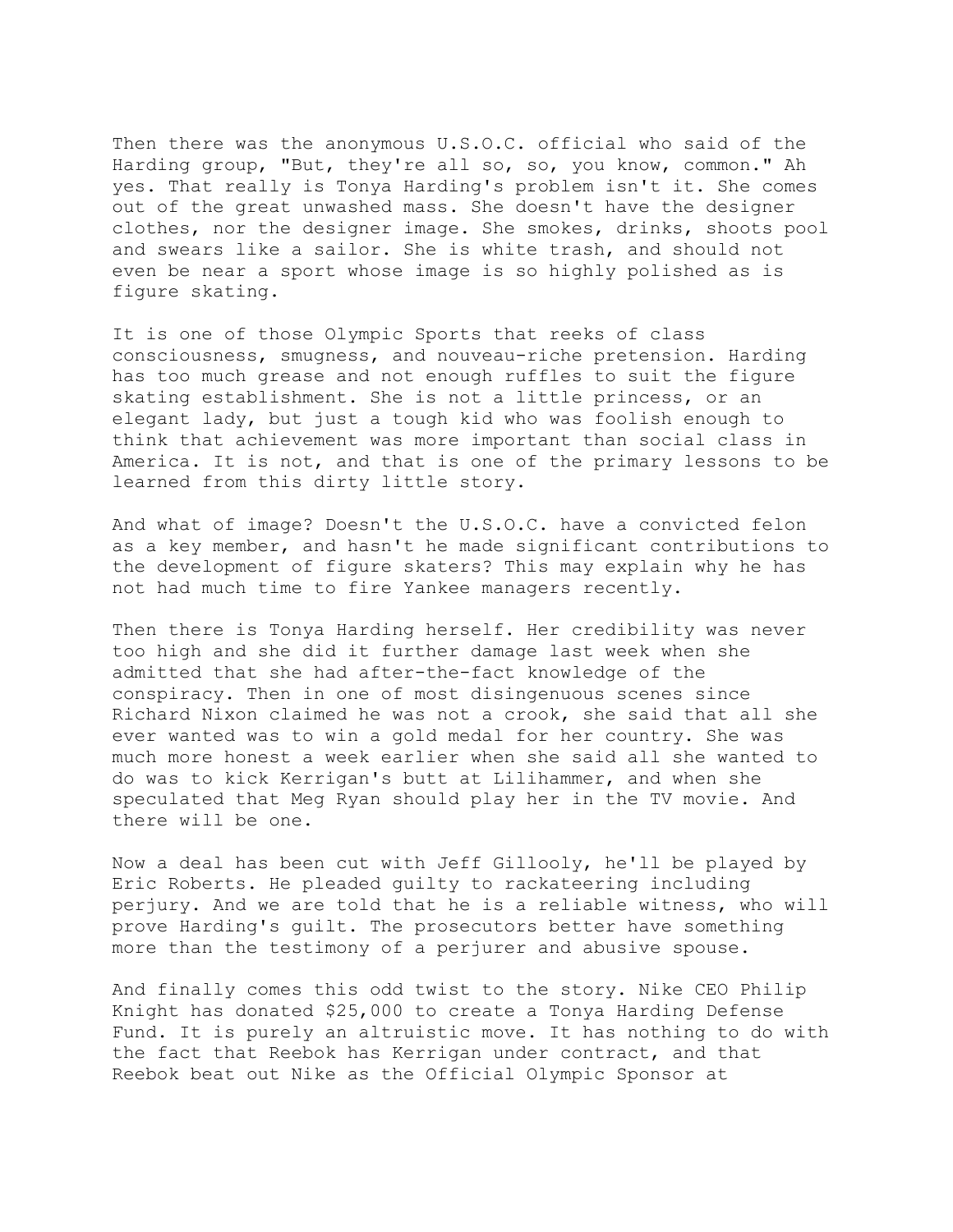Then there was the anonymous U.S.O.C. official who said of the Harding group, "But, they're all so, so, you know, common." Ah yes. That really is Tonya Harding's problem isn't it. She comes out of the great unwashed mass. She doesn't have the designer clothes, nor the designer image. She smokes, drinks, shoots pool and swears like a sailor. She is white trash, and should not even be near a sport whose image is so highly polished as is figure skating.

It is one of those Olympic Sports that reeks of class consciousness, smugness, and nouveau-riche pretension. Harding has too much grease and not enough ruffles to suit the figure skating establishment. She is not a little princess, or an elegant lady, but just a tough kid who was foolish enough to think that achievement was more important than social class in America. It is not, and that is one of the primary lessons to be learned from this dirty little story.

And what of image? Doesn't the U.S.O.C. have a convicted felon as a key member, and hasn't he made significant contributions to the development of figure skaters? This may explain why he has not had much time to fire Yankee managers recently.

Then there is Tonya Harding herself. Her credibility was never too high and she did it further damage last week when she admitted that she had after-the-fact knowledge of the conspiracy. Then in one of most disingenuous scenes since Richard Nixon claimed he was not a crook, she said that all she ever wanted was to win a gold medal for her country. She was much more honest a week earlier when she said all she wanted to do was to kick Kerrigan's butt at Lilihammer, and when she speculated that Meg Ryan should play her in the TV movie. And there will be one.

Now a deal has been cut with Jeff Gillooly, he'll be played by Eric Roberts. He pleaded guilty to rackateering including perjury. And we are told that he is a reliable witness, who will prove Harding's guilt. The prosecutors better have something more than the testimony of a perjurer and abusive spouse.

And finally comes this odd twist to the story. Nike CEO Philip Knight has donated \$25,000 to create a Tonya Harding Defense Fund. It is purely an altruistic move. It has nothing to do with the fact that Reebok has Kerrigan under contract, and that Reebok beat out Nike as the Official Olympic Sponsor at